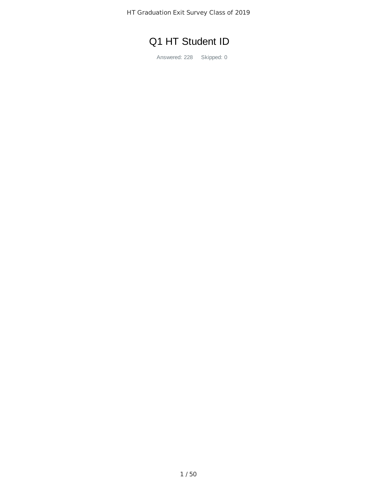HT Graduation Exit Survey Class of 2019

## Q1 HT Student ID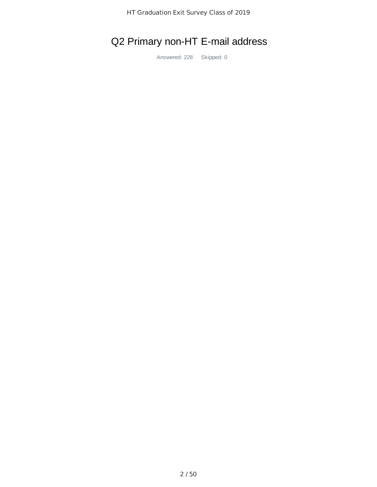## Q2 Primary non-HT E-mail address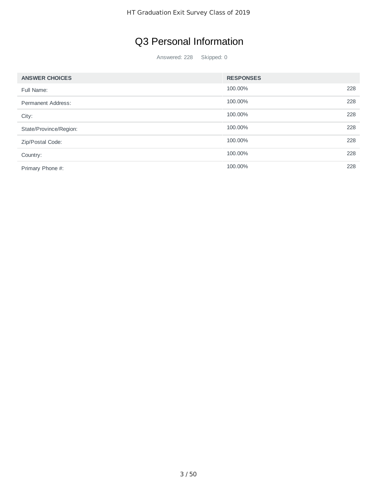## Q3 Personal Information

| <b>ANSWER CHOICES</b>  | <b>RESPONSES</b> |     |
|------------------------|------------------|-----|
| Full Name:             | 100.00%          | 228 |
| Permanent Address:     | 100.00%          | 228 |
| City:                  | 100.00%          | 228 |
| State/Province/Region: | 100.00%          | 228 |
| Zip/Postal Code:       | 100.00%          | 228 |
| Country:               | 100.00%          | 228 |
| Primary Phone #:       | 100.00%          | 228 |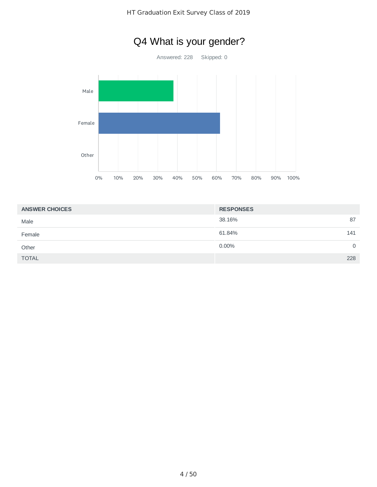

| <b>ANSWER CHOICES</b> | <b>RESPONSES</b> |
|-----------------------|------------------|
| Male                  | 87<br>38.16%     |
| Female                | 61.84%<br>141    |
| Other                 | 0.00%<br>0       |
| <b>TOTAL</b>          | 228              |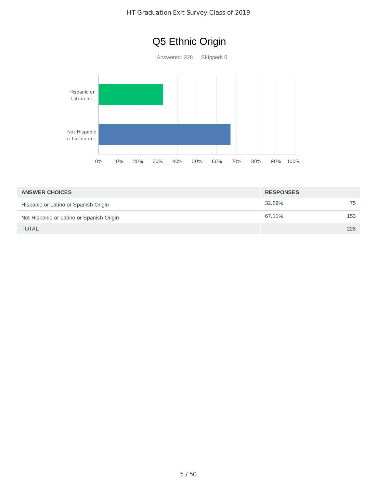

| <b>ANSWER CHOICES</b>                    | <b>RESPONSES</b> |     |
|------------------------------------------|------------------|-----|
| Hispanic or Latino or Spanish Origin     | 32.89%           | 75  |
| Not Hispanic or Latino or Spanish Origin | 67.11%           | 153 |
| <b>TOTAL</b>                             |                  | 228 |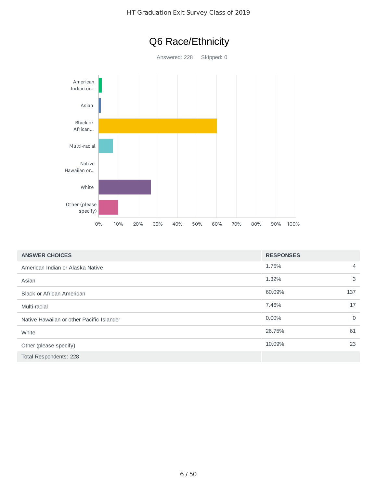



| <b>ANSWER CHOICES</b>                     | <b>RESPONSES</b> |          |
|-------------------------------------------|------------------|----------|
| American Indian or Alaska Native          | 1.75%            | 4        |
| Asian                                     | 1.32%            | 3        |
| <b>Black or African American</b>          | 60.09%           | 137      |
| Multi-racial                              | 7.46%            | 17       |
| Native Hawaiian or other Pacific Islander | $0.00\%$         | $\Omega$ |
| White                                     | 26.75%           | 61       |
| Other (please specify)                    | 10.09%           | 23       |
| Total Respondents: 228                    |                  |          |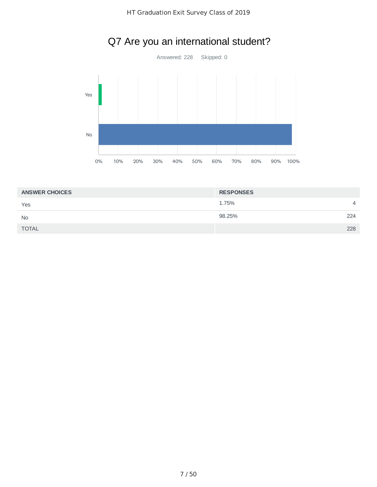

## Q7 Are you an international student?

| <b>ANSWER CHOICES</b> | <b>RESPONSES</b> |                |
|-----------------------|------------------|----------------|
| Yes                   | 1.75%            | $\overline{4}$ |
| <b>No</b>             | 98.25%           | 224            |
| <b>TOTAL</b>          |                  | 228            |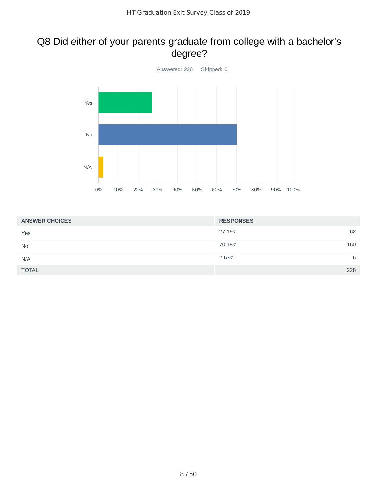#### Q8 Did either of your parents graduate from college with a bachelor's degree?



| <b>ANSWER CHOICES</b> | <b>RESPONSES</b> |
|-----------------------|------------------|
| Yes                   | 27.19%<br>62     |
| <b>No</b>             | 70.18%<br>160    |
| N/A                   | 2.63%<br>6       |
| <b>TOTAL</b>          | 228              |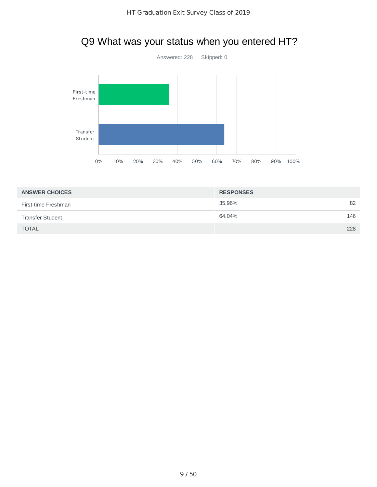

|  | Q9 What was your status when you entered HT? |
|--|----------------------------------------------|
|--|----------------------------------------------|

| <b>ANSWER CHOICES</b>   | <b>RESPONSES</b> |     |
|-------------------------|------------------|-----|
| First-time Freshman     | 35.96%           | 82  |
| <b>Transfer Student</b> | 64.04%           | 146 |
| <b>TOTAL</b>            |                  | 228 |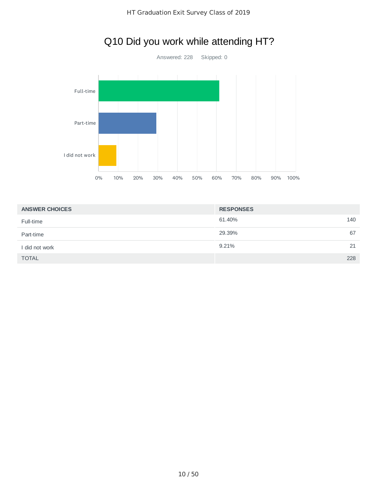

## Q10 Did you work while attending HT?

| <b>ANSWER CHOICES</b> | <b>RESPONSES</b> |     |
|-----------------------|------------------|-----|
| Full-time             | 61.40%           | 140 |
| Part-time             | 29.39%           | 67  |
| I did not work        | 9.21%            | 21  |
| <b>TOTAL</b>          |                  | 228 |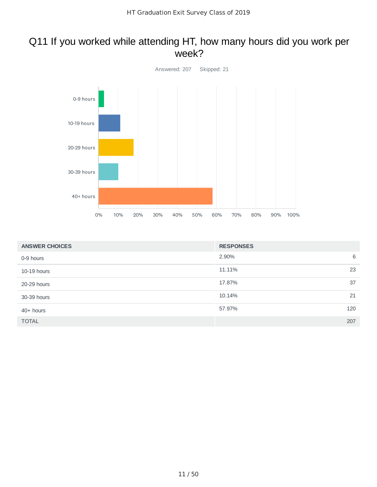#### Q11 If you worked while attending HT, how many hours did you work per week?



| <b>ANSWER CHOICES</b> | <b>RESPONSES</b> |     |
|-----------------------|------------------|-----|
| 0-9 hours             | 2.90%            | 6   |
| 10-19 hours           | 11.11%           | 23  |
| 20-29 hours           | 17.87%           | 37  |
| 30-39 hours           | 10.14%           | 21  |
| $40+$ hours           | 57.97%           | 120 |
| <b>TOTAL</b>          |                  | 207 |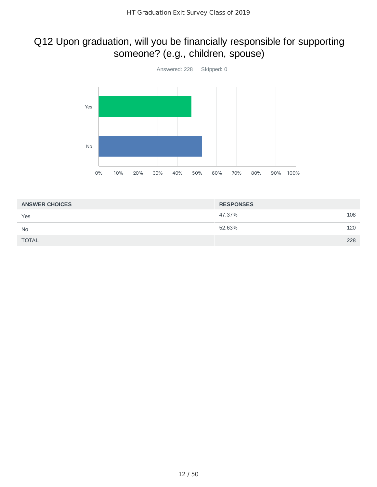## Q12 Upon graduation, will you be financially responsible for supporting someone? (e.g., children, spouse)



| <b>ANSWER CHOICES</b> | <b>RESPONSES</b> |     |
|-----------------------|------------------|-----|
| Yes                   | 47.37%           | 108 |
| <b>No</b>             | 52.63%           | 120 |
| <b>TOTAL</b>          |                  | 228 |
|                       |                  |     |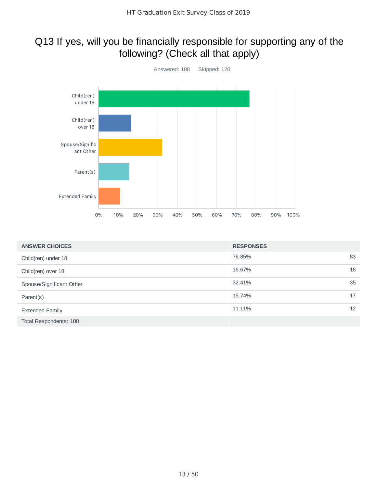#### Q13 If yes, will you be financially responsible for supporting any of the following? (Check all that apply)



| <b>ANSWER CHOICES</b>    | <b>RESPONSES</b> |                   |
|--------------------------|------------------|-------------------|
| Child(ren) under 18      | 76.85%           | 83                |
| Child(ren) over 18       | 16.67%           | 18                |
| Spouse/Significant Other | 32.41%           | 35                |
| Parent(s)                | 15.74%           | 17                |
| <b>Extended Family</b>   | 11.11%           | $12 \overline{ }$ |
| Total Respondents: 108   |                  |                   |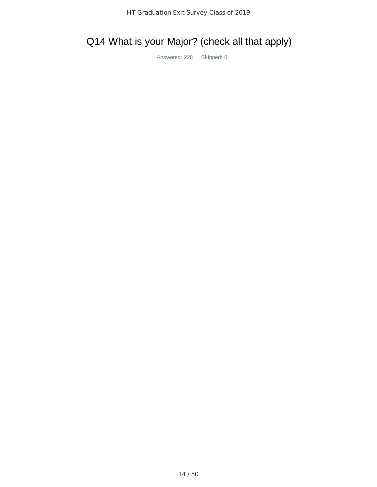# Q14 What is your Major? (check all that apply)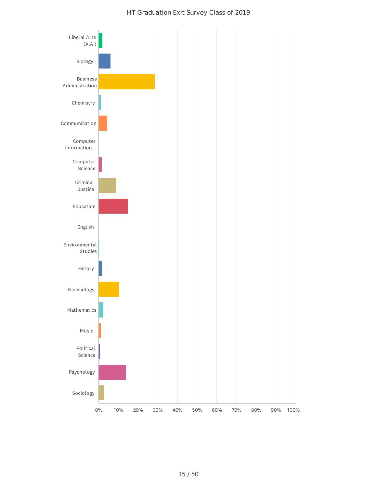#### HT Graduation Exit Survey Class of 2019

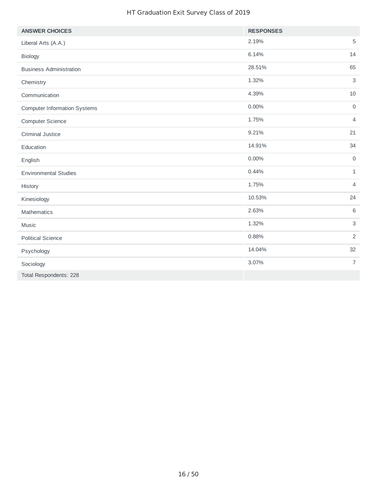#### HT Graduation Exit Survey Class of 2019

| <b>ANSWER CHOICES</b>               | <b>RESPONSES</b>                |
|-------------------------------------|---------------------------------|
| Liberal Arts (A.A.)                 | 2.19%<br>$\mathbf 5$            |
| Biology                             | 6.14%<br>14                     |
| <b>Business Administration</b>      | 28.51%<br>65                    |
| Chemistry                           | 1.32%<br>$\mathsf 3$            |
| Communication                       | 4.39%<br>$10\,$                 |
| <b>Computer Information Systems</b> | $0.00\%$<br>$\mathsf{O}\xspace$ |
| <b>Computer Science</b>             | 1.75%<br>$\overline{4}$         |
| <b>Criminal Justice</b>             | 9.21%<br>21                     |
| Education                           | 14.91%<br>34                    |
| English                             | 0.00%<br>$\mathsf O$            |
| <b>Environmental Studies</b>        | 0.44%<br>$\mathbf{1}$           |
| History                             | 1.75%<br>$\overline{4}$         |
| Kinesiology                         | 24<br>10.53%                    |
| Mathematics                         | 2.63%<br>6                      |
| Music                               | $\mathsf{3}$<br>1.32%           |
| <b>Political Science</b>            | 2<br>0.88%                      |
| Psychology                          | 32<br>14.04%                    |
| Sociology                           | 3.07%<br>$\overline{7}$         |
| Total Respondents: 228              |                                 |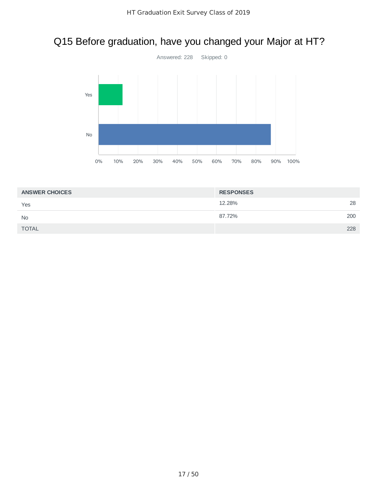## Q15 Before graduation, have you changed your Major at HT?



| <b>ANSWER CHOICES</b> | <b>RESPONSES</b> |     |
|-----------------------|------------------|-----|
| Yes                   | 12.28%           | 28  |
| <b>No</b>             | 87.72%           | 200 |
| <b>TOTAL</b>          |                  | 228 |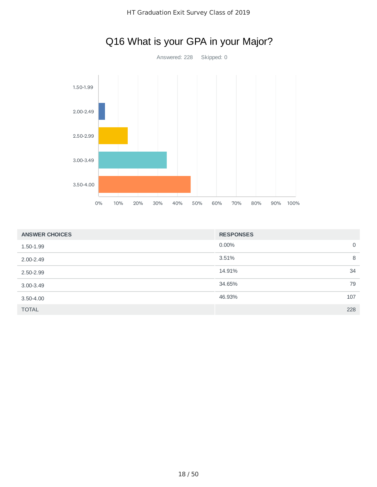

# Q16 What is your GPA in your Major?

| <b>ANSWER CHOICES</b> | <b>RESPONSES</b> |     |
|-----------------------|------------------|-----|
| 1.50-1.99             | 0.00%            | 0   |
| $2.00 - 2.49$         | 3.51%            | 8   |
| 2.50-2.99             | 14.91%           | 34  |
| $3.00 - 3.49$         | 34.65%           | 79  |
| $3.50 - 4.00$         | 46.93%           | 107 |
| <b>TOTAL</b>          |                  | 228 |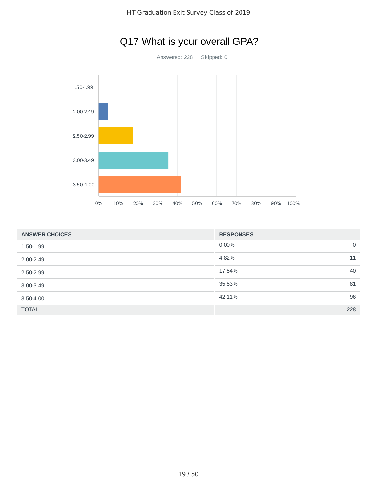

| <b>ANSWER CHOICES</b> | <b>RESPONSES</b>     |
|-----------------------|----------------------|
| 1.50-1.99             | 0.00%<br>$\mathbf 0$ |
| $2.00 - 2.49$         | 4.82%<br>11          |
| 2.50-2.99             | 40<br>17.54%         |
| $3.00 - 3.49$         | 35.53%<br>81         |
| $3.50 - 4.00$         | 96<br>42.11%         |
| <b>TOTAL</b>          | 228                  |

## Q17 What is your overall GPA?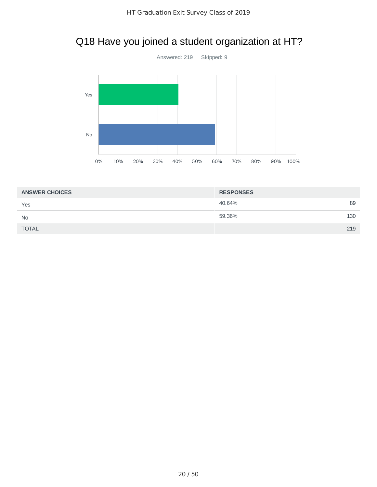## Q18 Have you joined a student organization at HT?



| <b>ANSWER CHOICES</b> | <b>RESPONSES</b> |     |
|-----------------------|------------------|-----|
| Yes                   | 40.64%           | 89  |
| <b>No</b>             | 59.36%           | 130 |
| <b>TOTAL</b>          |                  | 219 |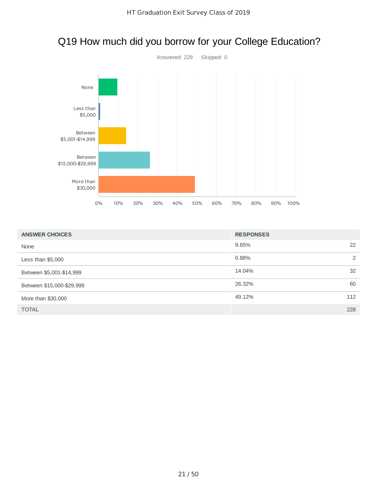

#### Q19 How much did you borrow for your College Education?

| <b>ANSWER CHOICES</b>     | <b>RESPONSES</b> |
|---------------------------|------------------|
| None                      | 22<br>9.65%      |
| Less than $$5,000$        | 2<br>0.88%       |
| Between \$5,001-\$14,999  | 32<br>14.04%     |
| Between \$15,000-\$29,999 | 26.32%<br>60     |
| More than \$30,000        | 49.12%<br>112    |
| <b>TOTAL</b>              | 228              |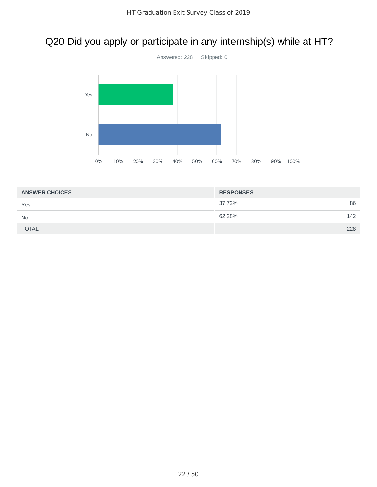# Q20 Did you apply or participate in any internship(s) while at HT?



| <b>ANSWER CHOICES</b> | <b>RESPONSES</b> |     |
|-----------------------|------------------|-----|
| Yes                   | 37.72%           | 86  |
| <b>No</b>             | 62.28%           | 142 |
| <b>TOTAL</b>          |                  | 228 |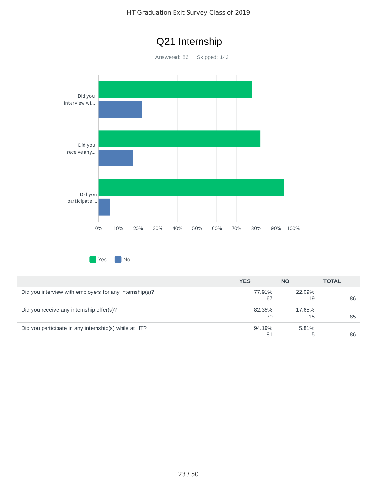#### HT Graduation Exit Survey Class of 2019



**Yes** No

|                                                         | <b>YES</b>   | <b>NO</b>    | <b>TOTAL</b> |
|---------------------------------------------------------|--------------|--------------|--------------|
| Did you interview with employers for any internship(s)? | 77.91%<br>67 | 22.09%<br>19 | 86           |
| Did you receive any internship offer(s)?                | 82.35%<br>70 | 17.65%<br>15 | 85           |
| Did you participate in any internship(s) while at HT?   | 94.19%<br>81 | 5.81%<br>b.  | 86           |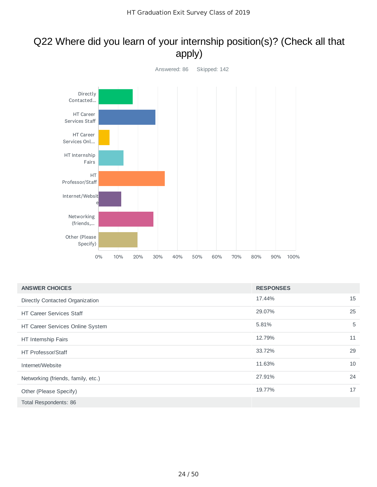#### Q22 Where did you learn of your internship position(s)? (Check all that apply)



| <b>ANSWER CHOICES</b>              | <b>RESPONSES</b> |    |
|------------------------------------|------------------|----|
| Directly Contacted Organization    | 17.44%           | 15 |
| <b>HT Career Services Staff</b>    | 29.07%           | 25 |
| HT Career Services Online System   | 5.81%            | 5  |
| HT Internship Fairs                | 12.79%           | 11 |
| HT Professor/Staff                 | 33.72%           | 29 |
| Internet/Website                   | 11.63%           | 10 |
| Networking (friends, family, etc.) | 27.91%           | 24 |
| Other (Please Specify)             | 19.77%           | 17 |
| Total Respondents: 86              |                  |    |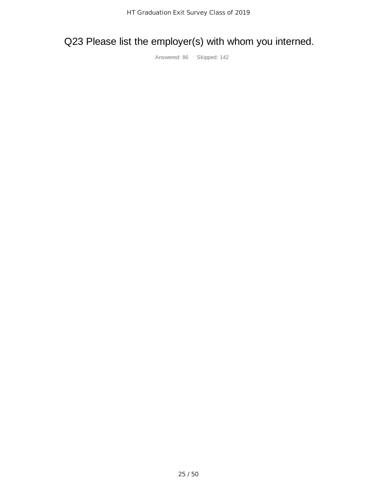# Q23 Please list the employer(s) with whom you interned.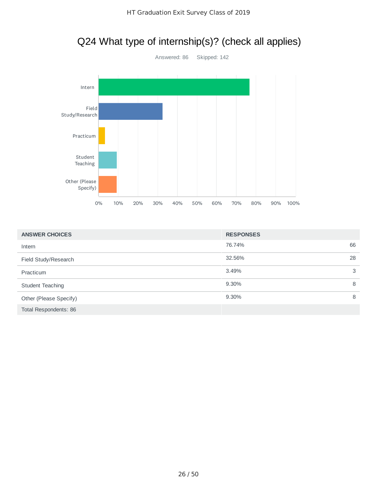## Q24 What type of internship(s)? (check all applies)



| <b>ANSWER CHOICES</b>  | <b>RESPONSES</b> |    |
|------------------------|------------------|----|
| Intern                 | 76.74%           | 66 |
| Field Study/Research   | 32.56%           | 28 |
| Practicum              | 3.49%            | 3  |
| Student Teaching       | 9.30%            | 8  |
| Other (Please Specify) | 9.30%            | 8  |
| Total Respondents: 86  |                  |    |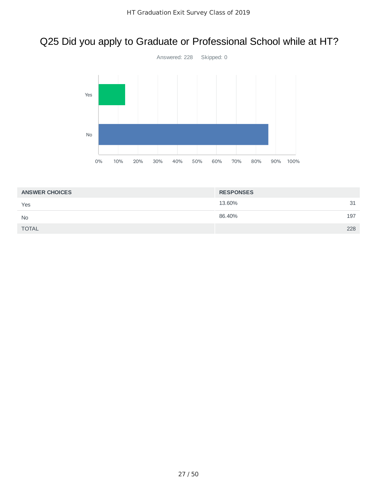## Q25 Did you apply to Graduate or Professional School while at HT?



| <b>ANSWER CHOICES</b> | <b>RESPONSES</b> |     |
|-----------------------|------------------|-----|
| Yes                   | 13.60%           | 31  |
| <b>No</b>             | 86.40%           | 197 |
| <b>TOTAL</b>          |                  | 228 |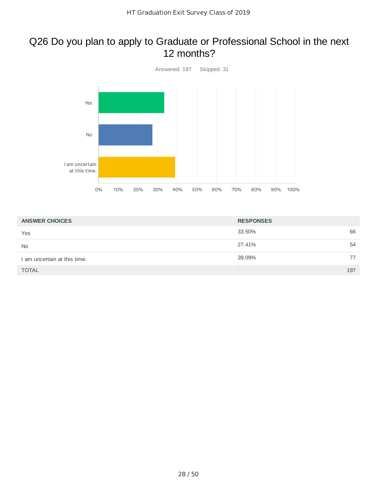#### Q26 Do you plan to apply to Graduate or Professional School in the next 12 months?



| <b>ANSWER CHOICES</b>        | <b>RESPONSES</b> |    |
|------------------------------|------------------|----|
| Yes                          | 33.50%           | 66 |
| <b>No</b>                    | 27.41%           | 54 |
| I am uncertain at this time. | 39.09%           | 77 |
| <b>TOTAL</b>                 | 197              |    |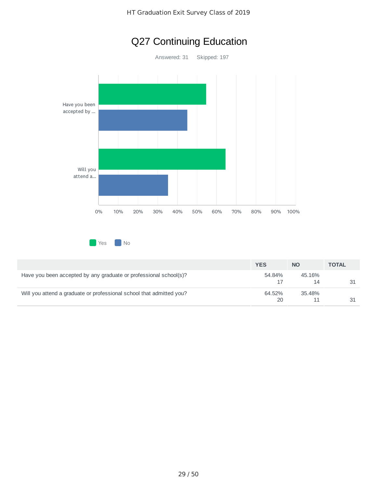## Q27 Continuing Education

Answered: 31 Skipped: 197



**No** Yes **No** 

|                                                                      | <b>YES</b>   | <b>NO</b>    | <b>TOTAL</b> |
|----------------------------------------------------------------------|--------------|--------------|--------------|
| Have you been accepted by any graduate or professional school(s)?    | 54.84%       | 45.16%<br>14 |              |
| Will you attend a graduate or professional school that admitted you? | 64.52%<br>20 | 35.48%       |              |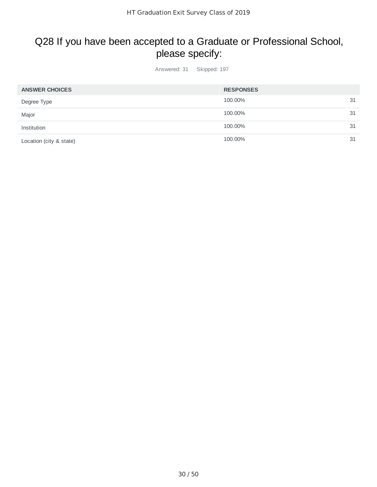### Q28 If you have been accepted to a Graduate or Professional School, please specify:

Answered: 31 Skipped: 197

| <b>ANSWER CHOICES</b>   | <b>RESPONSES</b> |    |
|-------------------------|------------------|----|
| Degree Type             | 100.00%          | 31 |
| Major                   | 100.00%          | 31 |
| Institution             | 100.00%          | 31 |
| Location (city & state) | 100.00%          | 31 |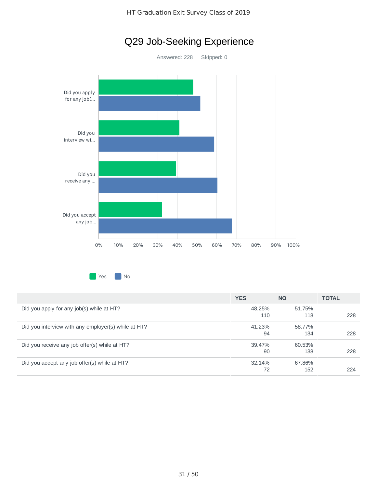

Q29 Job-Seeking Experience

| Yes | No |
|-----|----|
|     |    |

|                                                     | <b>YES</b> | <b>NO</b> | <b>TOTAL</b> |
|-----------------------------------------------------|------------|-----------|--------------|
| Did you apply for any job(s) while at HT?           | 48.25%     | 51.75%    |              |
|                                                     | 110        | 118       | 228          |
| Did you interview with any employer(s) while at HT? | 41.23%     | 58.77%    |              |
|                                                     | 94         | 134       | 228          |
| Did you receive any job offer(s) while at HT?       | 39.47%     | 60.53%    |              |
|                                                     | 90         | 138       | 228          |
| Did you accept any job offer(s) while at HT?        | 32.14%     | 67.86%    |              |
|                                                     | 72         | 152       | 224          |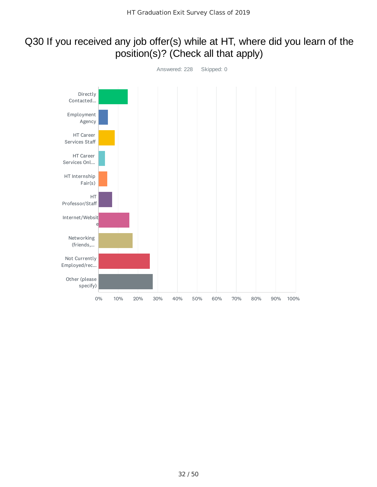#### Q30 If you received any job offer(s) while at HT, where did you learn of the position(s)? (Check all that apply)

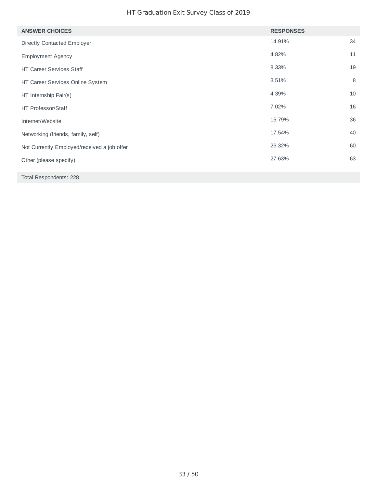#### HT Graduation Exit Survey Class of 2019

| <b>ANSWER CHOICES</b>                       | <b>RESPONSES</b> |    |
|---------------------------------------------|------------------|----|
| Directly Contacted Employer                 | 14.91%           | 34 |
| <b>Employment Agency</b>                    | 4.82%            | 11 |
| <b>HT Career Services Staff</b>             | 8.33%            | 19 |
| HT Career Services Online System            | 3.51%            | 8  |
| HT Internship Fair(s)                       | 4.39%            | 10 |
| <b>HT Professor/Staff</b>                   | 7.02%            | 16 |
| Internet/Website                            | 15.79%           | 36 |
| Networking (friends, family, self)          | 17.54%           | 40 |
| Not Currently Employed/received a job offer | 26.32%           | 60 |
| Other (please specify)                      | 27.63%           | 63 |
| Total Respondents: 228                      |                  |    |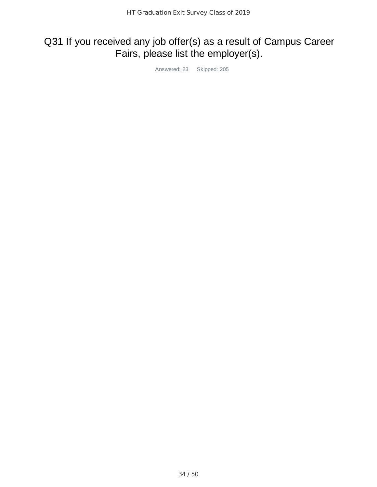## Q31 If you received any job offer(s) as a result of Campus Career Fairs, please list the employer(s).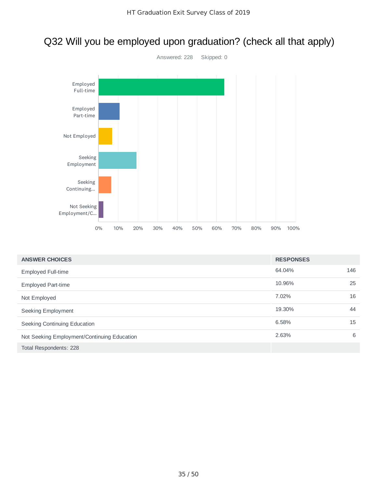#### Q32 Will you be employed upon graduation? (check all that apply)



| <b>ANSWER CHOICES</b>                       | <b>RESPONSES</b> |     |
|---------------------------------------------|------------------|-----|
| Employed Full-time                          | 64.04%           | 146 |
| <b>Employed Part-time</b>                   | 10.96%           | 25  |
| Not Employed                                | 7.02%            | 16  |
| Seeking Employment                          | 19.30%           | 44  |
| Seeking Continuing Education                | 6.58%            | 15  |
| Not Seeking Employment/Continuing Education | 2.63%            | 6   |
| Total Respondents: 228                      |                  |     |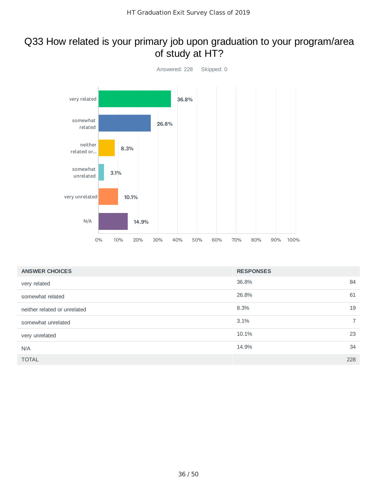#### Q33 How related is your primary job upon graduation to your program/area of study at HT?



| <b>ANSWER CHOICES</b>        | <b>RESPONSES</b>    |
|------------------------------|---------------------|
| very related                 | 36.8%<br>84         |
| somewhat related             | 26.8%<br>61         |
| neither related or unrelated | 8.3%<br>19          |
| somewhat unrelated           | $7^{\circ}$<br>3.1% |
| very unrelated               | 23<br>10.1%         |
| N/A                          | 34<br>14.9%         |
| <b>TOTAL</b>                 | 228                 |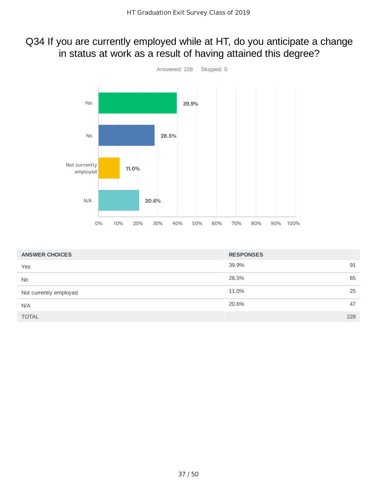#### Q34 If you are currently employed while at HT, do you anticipate a change in status at work as a result of having attained this degree?



| <b>ANSWER CHOICES</b>  | <b>RESPONSES</b> |
|------------------------|------------------|
| Yes                    | 39.9%<br>91      |
| <b>No</b>              | 65<br>28.5%      |
| Not currently employed | 25<br>11.0%      |
| N/A                    | 47<br>20.6%      |
| <b>TOTAL</b>           | 228              |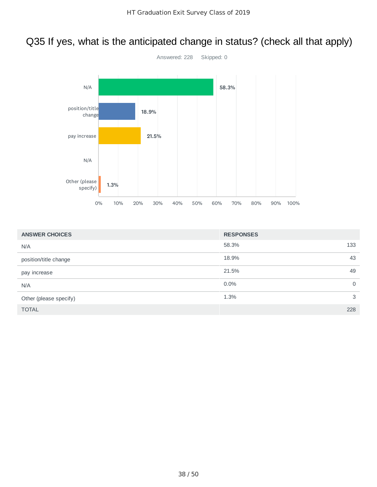### Q35 If yes, what is the anticipated change in status? (check all that apply)



| <b>ANSWER CHOICES</b>  | <b>RESPONSES</b> |     |
|------------------------|------------------|-----|
| N/A                    | 58.3%            | 133 |
| position/title change  | 18.9%            | 43  |
| pay increase           | 21.5%            | 49  |
| N/A                    | $0.0\%$          | 0   |
| Other (please specify) | 1.3%             | 3   |
| <b>TOTAL</b>           |                  | 228 |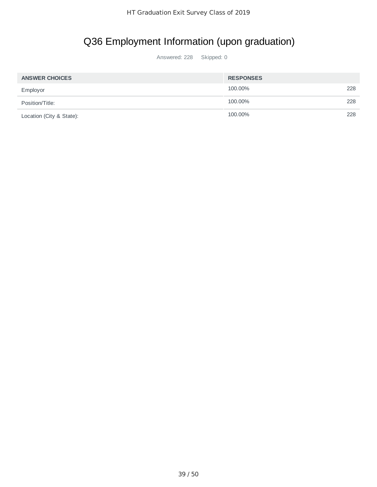## Q36 Employment Information (upon graduation)

| <b>ANSWER CHOICES</b>    | <b>RESPONSES</b> |     |
|--------------------------|------------------|-----|
| Employor                 | 100.00%          | 228 |
| Position/Title:          | 100.00%          | 228 |
| Location (City & State): | 100.00%          | 228 |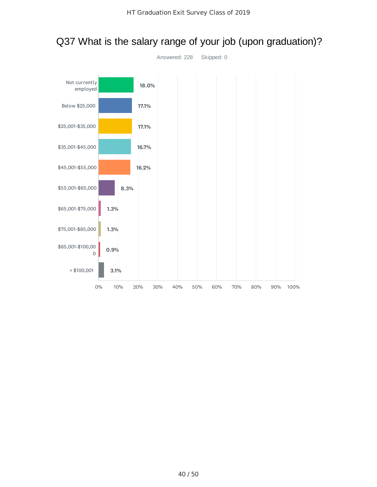

#### Q37 What is the salary range of your job (upon graduation)?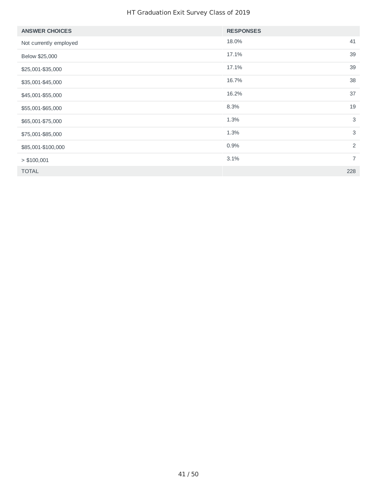#### HT Graduation Exit Survey Class of 2019

| <b>ANSWER CHOICES</b>  | <b>RESPONSES</b> |                |
|------------------------|------------------|----------------|
| Not currently employed | 18.0%            | 41             |
| Below \$25,000         | 17.1%            | 39             |
| \$25,001-\$35,000      | 17.1%            | 39             |
| \$35,001-\$45,000      | 16.7%            | 38             |
| \$45,001-\$55,000      | 16.2%            | 37             |
| \$55,001-\$65,000      | 8.3%             | 19             |
| \$65,001-\$75,000      | 1.3%             | 3              |
| \$75,001-\$85,000      | 1.3%             | 3              |
| \$85,001-\$100,000     | 0.9%             | $\overline{2}$ |
| > \$100,001            | 3.1%             | $\overline{7}$ |
| <b>TOTAL</b>           |                  | 228            |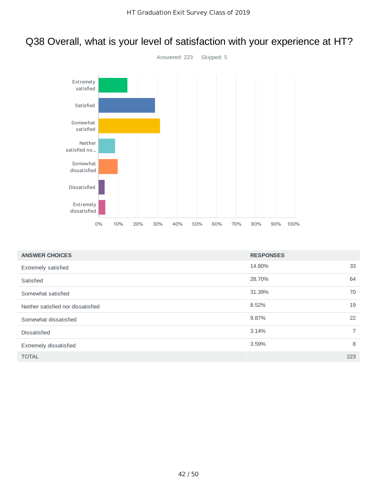## Q38 Overall, what is your level of satisfaction with your experience at HT?



| <b>ANSWER CHOICES</b>              | <b>RESPONSES</b> |             |
|------------------------------------|------------------|-------------|
| <b>Extremely satisfied</b>         | 14.80%           | 33          |
| Satisfied                          | 28.70%           | 64          |
| Somewhat satisfied                 | 31.39%           | 70          |
| Neither satisfied nor dissatisfied | 8.52%            | 19          |
| Somewhat dissatisfied              | 9.87%            | 22          |
| <b>Dissatisfied</b>                | 3.14%            | $7^{\circ}$ |
| Extremely dissatisfied             | 3.59%            | 8           |
| <b>TOTAL</b>                       |                  | 223         |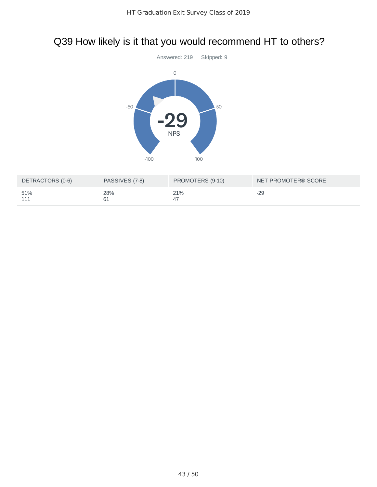## Q39 How likely is it that you would recommend HT to others?



| DETRACTORS (0-6) | PASSIVES (7-8) | PROMOTERS (9-10) | NET PROMOTER® SCORE |
|------------------|----------------|------------------|---------------------|
| 51%<br>111       | 28%            | 21%              | -29                 |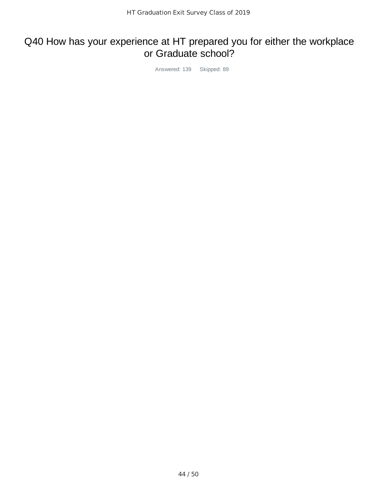#### Q40 How has your experience at HT prepared you for either the workplace or Graduate school?

Answered: 139 Skipped: 89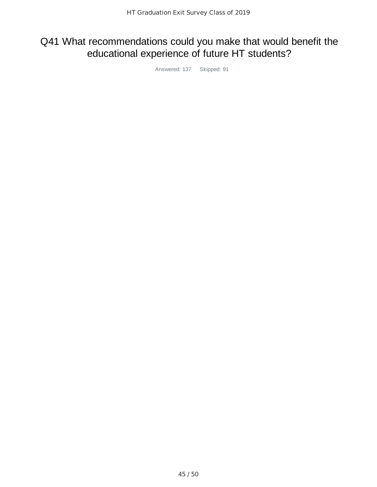### Q41 What recommendations could you make that would benefit the educational experience of future HT students?

Answered: 137 Skipped: 91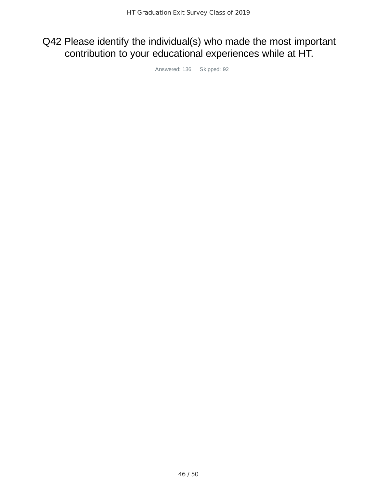### Q42 Please identify the individual(s) who made the most important contribution to your educational experiences while at HT.

Answered: 136 Skipped: 92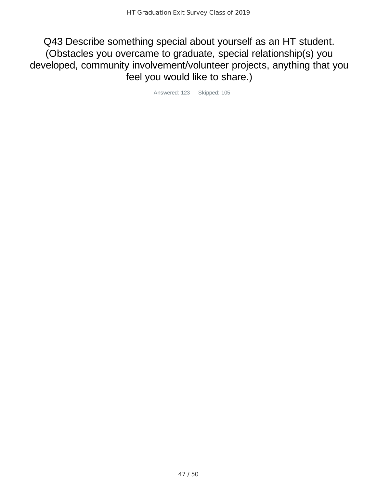Q43 Describe something special about yourself as an HT student. (Obstacles you overcame to graduate, special relationship(s) you developed, community involvement/volunteer projects, anything that you feel you would like to share.)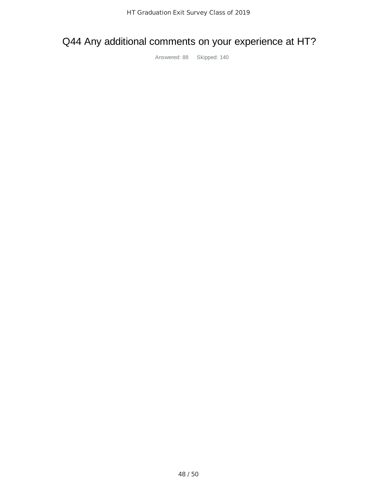#### Q44 Any additional comments on your experience at HT?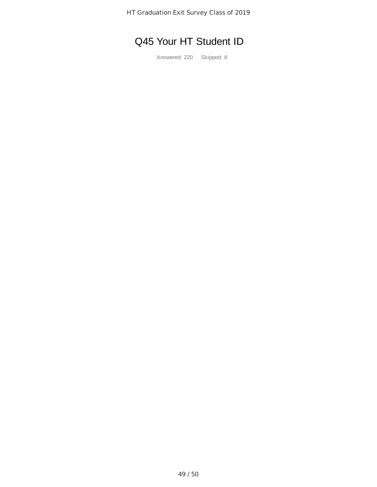## Q45 Your HT Student ID